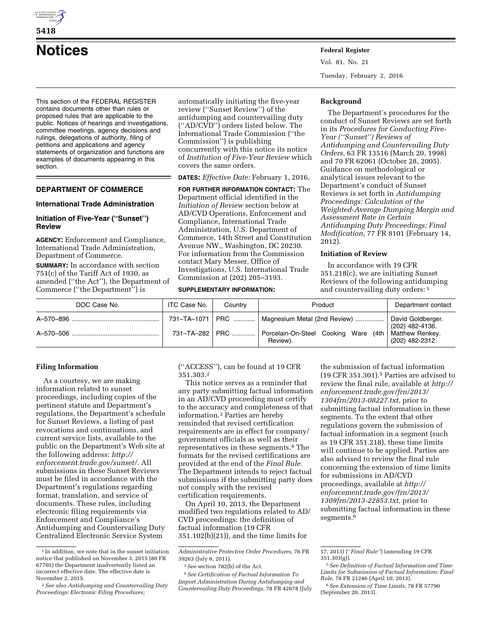

# **Notices Federal Register**

This section of the FEDERAL REGISTER contains documents other than rules or proposed rules that are applicable to the public. Notices of hearings and investigations, committee meetings, agency decisions and rulings, delegations of authority, filing of petitions and applications and agency statements of organization and functions are examples of documents appearing in this section.

## **DEPARTMENT OF COMMERCE**

## **International Trade Administration**

## **Initiation of Five-Year (''Sunset'') Review**

**AGENCY:** Enforcement and Compliance, International Trade Administration, Department of Commerce.

**SUMMARY:** In accordance with section 751(c) of the Tariff Act of 1930, as amended (''the Act''), the Department of Commerce (''the Department'') is

automatically initiating the five-year review (''Sunset Review'') of the antidumping and countervailing duty (''AD/CVD'') orders listed below. The International Trade Commission (''the Commission'') is publishing concurrently with this notice its notice of *Institution of Five-Year Review* which covers the same orders.

**DATES:** *Effective Date:* February 1, 2016.

**FOR FURTHER INFORMATION CONTACT:** The Department official identified in the *Initiation of Review* section below at AD/CVD Operations, Enforcement and Compliance, International Trade Administration, U.S. Department of Commerce, 14th Street and Constitution Avenue NW., Washington, DC 20230. For information from the Commission contact Mary Messer, Office of Investigations, U.S. International Trade Commission at (202) 205–3193.

#### **SUPPLEMENTARY INFORMATION:**

Vol. 81, No. 21 Tuesday, February 2, 2016

#### **Background**

The Department's procedures for the conduct of Sunset Reviews are set forth in its *Procedures for Conducting Five-Year (''Sunset'') Reviews of Antidumping and Countervailing Duty Orders,* 63 FR 13516 (March 20, 1998) and 70 FR 62061 (October 28, 2005). Guidance on methodological or analytical issues relevant to the Department's conduct of Sunset Reviews is set forth in *Antidumping Proceedings: Calculation of the Weighted-Average Dumping Margin and Assessment Rate in Certain Antidumping Duty Proceedings; Final Modification,* 77 FR 8101 (February 14, 2012).

## **Initiation of Review**

In accordance with 19 CFR 351.218(c), we are initiating Sunset Reviews of the following antidumping and countervailing duty orders: 1

| DOC Case No. | ITC Case No. | Country        | Product                                                                                                                 | Department contact                                      |
|--------------|--------------|----------------|-------------------------------------------------------------------------------------------------------------------------|---------------------------------------------------------|
|              |              | 731–TA–282 PRC | 731-TA-1071   PRC    Magnesium Metal (2nd Review)<br>Porcelain-On-Steel Cooking Ware (4th   Matthew Renkey.<br>Review). | David Goldberger.<br>(202) 482-4136.<br>(202) 482-2312. |

#### **Filing Information**

As a courtesy, we are making information related to sunset proceedings, including copies of the pertinent statute and Department's regulations, the Department's schedule for Sunset Reviews, a listing of past revocations and continuations, and current service lists, available to the public on the Department's Web site at the following address: *[http://](http://enforcement.trade.gov/sunset/) [enforcement.trade.gov/sunset/](http://enforcement.trade.gov/sunset/)*. All submissions in these Sunset Reviews must be filed in accordance with the Department's regulations regarding format, translation, and service of documents. These rules, including electronic filing requirements via Enforcement and Compliance's Antidumping and Countervailing Duty Centralized Electronic Service System

(''ACCESS''), can be found at 19 CFR 351.303.2

This notice serves as a reminder that any party submitting factual information in an AD/CVD proceeding must certify to the accuracy and completeness of that information.3 Parties are hereby reminded that revised certification requirements are in effect for company/ government officials as well as their representatives in these segments.4 The formats for the revised certifications are provided at the end of the *Final Rule.*  The Department intends to reject factual submissions if the submitting party does not comply with the revised certification requirements.

On April 10, 2013, the Department modified two regulations related to AD/ CVD proceedings: the definition of factual information (19 CFR 351.102(b)(21)), and the time limits for

the submission of factual information (19 CFR 351.301).5 Parties are advised to review the final rule, available at *[http://](http://enforcement.trade.gov/frn/2013/1304frn/2013-08227.txt)  [enforcement.trade.gov/frn/2013/](http://enforcement.trade.gov/frn/2013/1304frn/2013-08227.txt) [1304frn/2013-08227.txt,](http://enforcement.trade.gov/frn/2013/1304frn/2013-08227.txt)* prior to submitting factual information in these segments. To the extent that other regulations govern the submission of factual information in a segment (such as 19 CFR 351.218), these time limits will continue to be applied. Parties are also advised to review the final rule concerning the extension of time limits for submissions in AD/CVD proceedings, available at *[http://](http://enforcement.trade.gov/frn/2013/1309frn/2013-22853.txt) [enforcement.trade.gov/frn/2013/](http://enforcement.trade.gov/frn/2013/1309frn/2013-22853.txt) [1309frn/2013-22853.txt,](http://enforcement.trade.gov/frn/2013/1309frn/2013-22853.txt)* prior to submitting factual information in these segments.<sup>6</sup>

**5418** 

<sup>1</sup> In addition, we note that in the sunset initiation notice that published on November 3, 2015 (80 FR 67705) the Department inadvertently listed an incorrect effective date. The effective date is November 2, 2015.

<sup>2</sup>*See also Antidumping and Countervailing Duty Proceedings: Electronic Filing Procedures;* 

*Administrative Protective Order Procedures,* 76 FR 39263 (July 6, 2011).

<sup>3</sup>*See* section 782(b) of the Act.

<sup>4</sup>*See Certification of Factual Information To Import Administration During Antidumping and Countervailing Duty Proceedings,* 78 FR 42678 (July

<sup>17, 2013) (&#</sup>x27;'*Final Rule''*) (amending 19 CFR 351.303(g)).

<sup>5</sup>*See Definition of Factual Information and Time Limits for Submission of Factual Information: Final Rule,* 78 FR 21246 (April 10, 2013).

<sup>6</sup>*See Extension of Time Limits,* 78 FR 57790 (September 20, 2013).